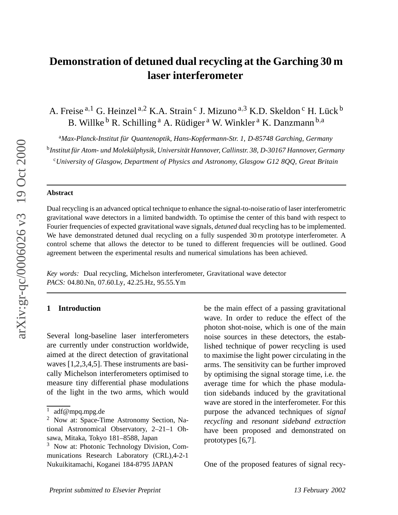# **Demonstration of detuned dual recycling at the Garching 30 m laser interferometer**

A. Freise<sup>a,1</sup> G. Heinzel<sup>a,2</sup> K.A. Strain<sup>c</sup> J. Mizuno<sup>a,3</sup> K.D. Skeldon<sup>c</sup> H. Lück<sup>b</sup> B. Willke  $^{\text{b}}$  R. Schilling <sup>a</sup> A. Rüdiger <sup>a</sup> W. Winkler <sup>a</sup> K. Danzmann <sup>b, a</sup>

<sup>a</sup>*Max-Planck-Institut für Quantenoptik, Hans-Kopfermann-Str. 1, D-85748 Garching, Germany*

b *Institut für Atom- und Molekülphysik, Universität Hannover, Callinstr. 38, D-30167 Hannover, Germany*

<sup>c</sup>*University of Glasgow, Department of Physics and Astronomy, Glasgow G12 8QQ, Great Britain*

## **Abstract**

Dual recycling is an advanced optical technique to enhance the signal-to-noise ratio of laser interferometric gravitational wav e detectors in a limited bandwidth. To optimise the center of this band with respect to Fourier frequencies of expected gravitational wave signals, *detuned* dual recycling has to be implemented. We have demonstrated detuned dual recycling on a fully suspended 30m prototype interferometer. A control scheme that allows the detector to be tuned to different frequencies will be outlined. Good agreement between the experimental results and numerical simulations has been achie ved.

*Key words:* Dual recycling, Michelson interferometer, Gravitational wav e detector *PACS:* 04.80.Nn, 07.60.Ly, 42.25.Hz, 95.55.Ym

# **1 Introduction**

Se veral long-baseline laser interferometers are currently under construction worldwide, aimed at the direct detection of gravitational waves [1,2,3,4,5]. These instruments are basically Michelson interferometers optimised to measure tin y differential phase modulations of the light in the two arms, which would

be the main effect of a passing gravitational wave. In order to reduce the effect of the photon shot-noise, which is one of the main noise sources in these detectors, the established technique of power recycling is used to maximise the light power circulating in the arms. The sensitivity can be further impro ved by optimising the signal storage time, i.e. the average time for which the phase modulation sidebands induced by the gravitational wav e are stored in the interferometer . For this purpose the advanced techniques of *signal recycling* and *resonant sideband extraction* hav e been proposed and demonstrated on prototypes [6,7].

One of the proposed features of signal recy-

<sup>&</sup>lt;sup>1</sup> adf@mpq.mpg.de

<sup>&</sup>lt;sup>2</sup> Now at: Space-Time Astronomy Section, National Astronomical Observatory, 2–21–1 Ohsawa, Mitaka, Tokyo 181–8588, Japan

<sup>3</sup> Now at: Photonic Technology Division, Communications Research Laboratory (CRL),4-2-1 Nukuikitamachi, Koganei 184-8795 JAPAN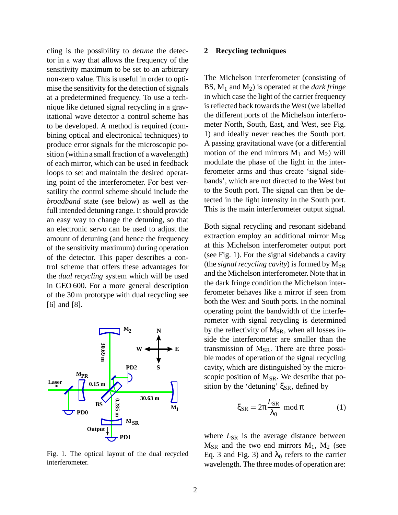cling is the possibility to *detune* the detector in a way that allows the frequency of the sensitivity maximum to be set to an arbitrary non-zero value. This is useful in order to optimise the sensitivity for the detection of signals at a predetermined frequency. To use a technique like detuned signal recycling in a gravitational wave detector a control scheme has to be developed. A method is required (combining optical and electronical techniques) to produce error signals for the microscopic position (within a small fraction of a wavelength) of each mirror, which can be used in feedback loops to set and maintain the desired operating point of the interferometer. For best versatility the control scheme should include the *broadband* state (see below) as well as the full intended detuning range. It should provide an easy way to change the detuning, so that an electronic servo can be used to adjust the amount of detuning (and hence the frequency of the sensitivity maximum) during operation of the detector. This paper describes a control scheme that offers these advantages for the *dual recycling* system which will be used in GEO 600. For a more general description of the 30 m prototype with dual recycling see [6] and [8].



# **2 Recycling techniques**

The Michelson interferometer (consisting of BS, M<sup>1</sup> and M2) is operated at the *dark fringe* in which case the light of the carrier frequency is reflected back towards the West (we labelled the different ports of the Michelson interferometer North, South, East, and West, see Fig. 1) and ideally never reaches the South port. A passing gravitational wave (or a differential motion of the end mirrors  $M_1$  and  $M_2$ ) will modulate the phase of the light in the interferometer arms and thus create 'signal sidebands', which are not directed to the West but to the South port. The signal can then be detected in the light intensity in the South port. This is the main interferometer output signal.

Both signal recycling and resonant sideband extraction employ an additional mirror  $M_{SR}$ at this Michelson interferometer output port (see Fig. 1). For the signal sidebands a cavity (the *signal recycling cavity*) is formed by  $M_{SR}$ and the Michelson interferometer. Note that in the dark fringe condition the Michelson interferometer behaves like a mirror if seen from both the West and South ports. In the nominal operating point the bandwidth of the interferometer with signal recycling is determined by the reflectivity of  $M_{SR}$ , when all losses inside the interferometer are smaller than the transmission of  $M_{SR}$ . There are three possible modes of operation of the signal recycling cavity, which are distinguished by the microscopic position of  $M_{SR}$ . We describe that position by the 'detuning' ξ $_{SR}$ , defined by

$$
\xi_{\rm SR} = 2\pi \frac{L_{\rm SR}}{\lambda_0} \mod \pi \tag{1}
$$

Fig. 1. The optical layout of the dual recycled interferometer.

where  $L_{SR}$  is the average distance between  $M_{SR}$  and the two end mirrors  $M_1$ ,  $M_2$  (see Eq. 3 and Fig. 3) and  $λ_0$  refers to the carrier wavelength. The three modes of operation are: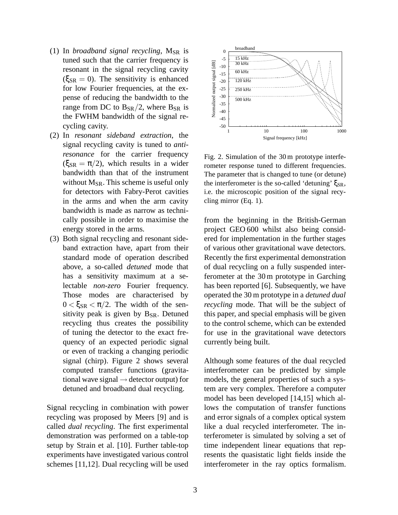- $(1)$  In *broadband signal recycling*,  $M_{SR}$  *is* tuned such that the carrier frequency is resonant in the signal recycling cavity  $(\xi_{SR} = 0)$ . The sensitivity is enhanced for low Fourier frequencies, at the expense of reducing the bandwidth to the range from DC to  $B_{SR}/2$ , where  $B_{SR}$  is the FWHM bandwidth of the signal recycling cavity.
- (2) In *resonant sideband extraction*, the signal recycling cavity is tuned to *antiresonance* for the carrier frequency  $(\xi_{SR} = \pi/2)$ , which results in a wider bandwidth than that of the instrument without  $M_{SR}$ . This scheme is useful only for detectors with Fabry-Perot cavities in the arms and when the arm cavity bandwidth is made as narrow as technically possible in order to maximise the energy stored in the arms.
- (3) Both signal recycling and resonant sideband extraction have, apart from their standard mode of operation described above, a so-called *detuned* mode that has a sensitivity maximum at a selectable *non-zero* Fourier frequency. Those modes are characterised by  $0 < \xi_{SR} < \pi/2$ . The width of the sensitivity peak is given by  $B_{SR}$ . Detuned recycling thus creates the possibility of tuning the detector to the exact frequency of an expected periodic signal or even of tracking a changing periodic signal (chirp). Figure 2 shows several computed transfer functions (gravitational wave signal  $\rightarrow$  detector output) for detuned and broadband dual recycling.

Signal recycling in combination with power recycling was proposed by Meers [9] and is called *dual recycling*. The first experimental demonstration was performed on a table-top setup by Strain et al. [10]. Further table-top experiments have investigated various control schemes [11,12]. Dual recycling will be used



Fig. 2. Simulation of the 30m prototype interferometer response tuned to different frequencies. The parameter that is changed to tune (or detune) the interferometer is the so-called 'detuning'  $\xi_{SR}$ , i.e. the microscopic position of the signal recycling mirror (Eq. 1).

from the beginning in the British-German project GEO 600 whilst also being considered for implementation in the further stages of various other gravitational wave detectors. Recently the first experimental demonstration of dual recycling on a fully suspended interferometer at the 30 m prototype in Garching has been reported [6]. Subsequently, we have operated the 30 m prototype in a *detuned dual recycling* mode. That will be the subject of this paper, and special emphasis will be given to the control scheme, which can be extended for use in the gravitational wave detectors currently being built.

Although some features of the dual recycled interferometer can be predicted by simple models, the general properties of such a system are very complex. Therefore a computer model has been developed [14,15] which allows the computation of transfer functions and error signals of a complex optical system like a dual recycled interferometer. The interferometer is simulated by solving a set of time independent linear equations that represents the quasistatic light fields inside the interferometer in the ray optics formalism.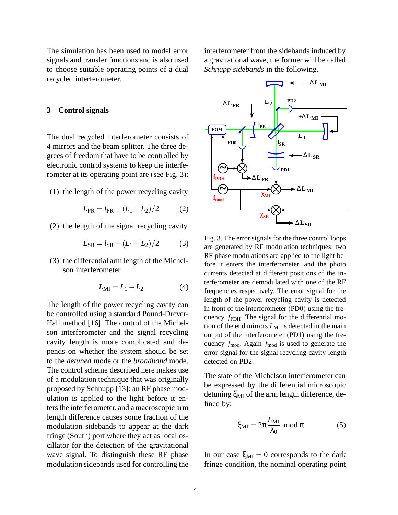The simulation has been used to model error signals and transfer functions and is also used to choose suitable operating points of a dual recycled interferometer.

#### **3 Control signals**

The dual recycled interferometer consists of 4 mirrors and the beam splitter. The three degrees of freedom that have to be controlled by electronic control systems to keep the interferometer at its operating point are (see Fig. 3):

(1) the length of the power recycling cavity

$$
L_{\rm PR} = l_{\rm PR} + (L_1 + L_2)/2 \tag{2}
$$

(2) the length of the signal recycling cavity

$$
L_{\rm SR} = l_{\rm SR} + (L_1 + L_2)/2\tag{3}
$$

(3) the differential arm length of the Michelson interferometer

$$
L_{\rm MI} = L_1 - L_2 \tag{4}
$$

The length of the power recycling cavity can be controlled using a standard Pound-Drever-Hall method [16]. The control of the Michelson interferometer and the signal recycling cavity length is more complicated and depends on whether the system should be set to the *detuned* mode or the *broadband* mode. The control scheme described here makes use of a modulation technique that was originally proposed by Schnupp [13]: an RF phase modulation is applied to the light before it enters the interferometer, and a macroscopic arm length difference causes some fraction of the modulation sidebands to appear at the dark fringe (South) port where they act as local oscillator for the detection of the gravitational wave signal. To distinguish these RF phase modulation sidebands used for controlling the interferometer from the sidebands induced by a gravitational wave, the former will be called *Schnupp sidebands* in the following.



Fig. 3. The error signals for the three control loops are generated by RF modulation techniques: two RF phase modulations are applied to the light before it enters the interferometer, and the photo currents detected at different positions of the interferometer are demodulated with one of the RF frequencies respectively. The error signal for the length of the power recycling cavity is detected in front of the interferometer (PD0) using the frequency *f*<sub>PDH</sub>. The signal for the differential motion of the end mirrors  $L_{\text{MI}}$  is detected in the main output of the interferometer (PD1) using the frequency *f*<sub>mod</sub>. Again *f*<sub>mod</sub> is used to generate the error signal for the signal recycling cavity length detected on PD2.

The state of the Michelson interferometer can be expressed by the differential microscopic detuning  $\xi_{\text{MI}}$  of the arm length difference, defined by:

$$
\xi_{\rm MI} = 2\pi \frac{L_{\rm MI}}{\lambda_0} \mod \pi \tag{5}
$$

In our case  $\xi_{\text{MI}} = 0$  corresponds to the dark fringe condition, the nominal operating point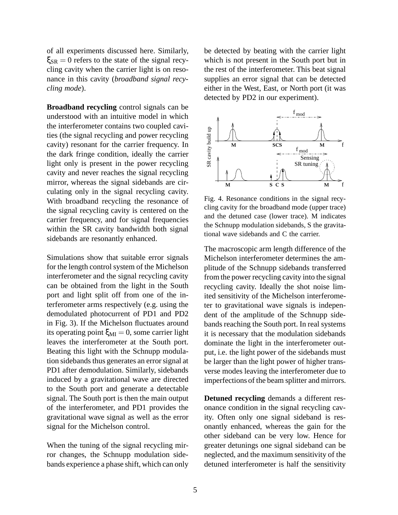of all experiments discussed here. Similarly,  $\xi_{SR} = 0$  refers to the state of the signal recycling cavity when the carrier light is on resonance in this cavity (*broadband signal recycling mode*).

**Broadband recycling** control signals can be understood with an intuitive model in which the interferometer contains two coupled cavities (the signal recycling and power recycling cavity) resonant for the carrier frequency. In the dark fringe condition, ideally the carrier light only is present in the power recycling cavity and never reaches the signal recycling mirror, whereas the signal sidebands are circulating only in the signal recycling cavity. With broadband recycling the resonance of the signal recycling cavity is centered on the carrier frequency, and for signal frequencies within the SR cavity bandwidth both signal sidebands are resonantly enhanced.

Simulations show that suitable error signals for the length control system of the Michelson interferometer and the signal recycling cavity can be obtained from the light in the South port and light split off from one of the interferometer arms respectively (e.g. using the demodulated photocurrent of PD1 and PD2 in Fig. 3). If the Michelson fluctuates around its operating point  $\xi_{MI} = 0$ , some carrier light leaves the interferometer at the South port. Beating this light with the Schnupp modulation sidebands thus generates an errorsignal at PD1 after demodulation. Similarly, sidebands induced by a gravitational wave are directed to the South port and generate a detectable signal. The South port is then the main output of the interferometer, and PD1 provides the gravitational wave signal as well as the error signal for the Michelson control.

When the tuning of the signal recycling mirror changes, the Schnupp modulation sidebands experience a phase shift, which can only

be detected by beating with the carrier light which is not present in the South port but in the rest of the interferometer. This beat signal supplies an error signal that can be detected either in the West, East, or North port (it was detected by PD2 in our experiment).



Fig. 4. Resonance conditions in the signal recycling cavity for the broadband mode (upper trace) and the detuned case (lower trace). M indicates the Schnupp modulation sidebands, S the gravitational wave sidebands and C the carrier.

The macroscopic arm length difference of the Michelson interferometer determines the amplitude of the Schnupp sidebands transferred from the power recycling cavity into the signal recycling cavity. Ideally the shot noise limited sensitivity of the Michelson interferometer to gravitational wave signals is independent of the amplitude of the Schnupp sidebands reaching the South port. In real systems it is necessary that the modulation sidebands dominate the light in the interferometer output, i.e. the light power of the sidebands must be larger than the light power of higher transverse modes leaving the interferometer due to imperfections of the beam splitter and mirrors.

**Detuned recycling** demands a different resonance condition in the signal recycling cavity. Often only one signal sideband is resonantly enhanced, whereas the gain for the other sideband can be very low. Hence for greater detunings one signal sideband can be neglected, and the maximum sensitivity of the detuned interferometer is half the sensitivity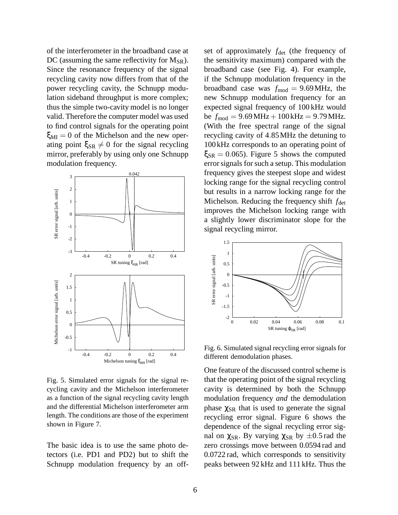of the interferometer in the broadband case at DC (assuming the same reflectivity for  $M_{SR}$ ). Since the resonance frequency of the signal recycling cavity now differs from that of the power recycling cavity, the Schnupp modulation sideband throughput is more complex; thus the simple two-cavity model is no longer valid. Therefore the computer model was used to find control signals for the operating point  $\xi_{\text{MI}} = 0$  of the Michelson and the new operating point  $\xi_{SR} \neq 0$  for the signal recycling mirror, preferably by using only one Schnupp modulation frequency.



Fig. 5. Simulated error signals for the signal recycling cavity and the Michelson interferometer as a function of the signal recycling cavity length and the differential Michelson interferometer arm length. The conditions are those of the experiment shown in Figure 7.

The basic idea is to use the same photo detectors (i.e. PD1 and PD2) but to shift the Schnupp modulation frequency by an off-

set of approximately  $f_{\text{det}}$  (the frequency of the sensitivity maximum) compared with the broadband case (see Fig. 4). For example, if the Schnupp modulation frequency in the broadband case was  $f_{\text{mod}} = 9.69 \text{ MHz}$ , the new Schnupp modulation frequency for an expected signal frequency of 100 kHz would be  $f_{\text{mod}} = 9.69 \text{ MHz} + 100 \text{ kHz} = 9.79 \text{ MHz}.$ (With the free spectral range of the signal recycling cavity of 4.85MHz the detuning to 100kHz corresponds to an operating point of  $\xi_{\text{SR}} = 0.065$ . Figure 5 shows the computed error signals for such a setup. This modulation frequency gives the steepest slope and widest locking range for the signal recycling control but results in a narrow locking range for the Michelson. Reducing the frequency shift  $f_{\text{det}}$ improves the Michelson locking range with a slightly lower discriminator slope for the signal recycling mirror.



Fig. 6. Simulated signal recycling error signals for different demodulation phases.

One feature of the discussed control scheme is that the operating point of the signal recycling cavity is determined by both the Schnupp modulation frequency *and* the demodulation phase  $\chi_{SR}$  that is used to generate the signal recycling error signal. Figure 6 shows the dependence of the signal recycling error signal on  $\chi_{SR}$ . By varying  $\chi_{SR}$  by  $\pm 0.5$  rad the zero crossings move between 0.0594 rad and 0.0722 rad, which corresponds to sensitivity peaks between 92 kHz and 111 kHz. Thus the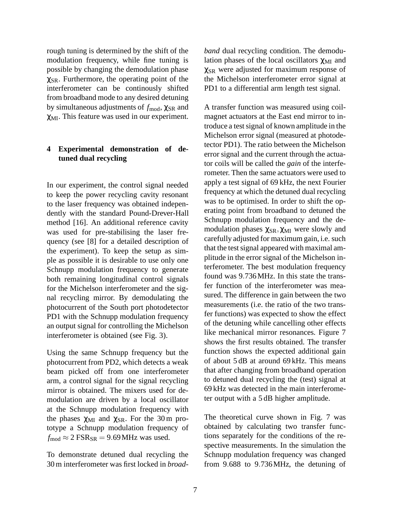rough tuning is determined by the shift of the modulation frequency, while fine tuning is possible by changing the demodulation phase  $\chi_{SR}$ . Furthermore, the operating point of the interferometer can be continously shifted from broadband mode to any desired detuning by simultaneous adjustments of  $f_{mod}$ , χ<sub>SR</sub> and χMI. This feature was used in our experiment.

# **4 Experimental demonstration of detuned dual recycling**

In our experiment, the control signal needed to keep the power recycling cavity resonant to the laser frequency was obtained independently with the standard Pound-Drever-Hall method [16]. An additional reference cavity was used for pre-stabilising the laser frequency (see [8] for a detailed description of the experiment). To keep the setup as simple as possible it is desirable to use only one Schnupp modulation frequency to generate both remaining longitudinal control signals for the Michelson interferometer and the signal recycling mirror. By demodulating the photocurrent of the South port photodetector PD1 with the Schnupp modulation frequency an output signal for controlling the Michelson interferometer is obtained (see Fig. 3).

Using the same Schnupp frequency but the photocurrent from PD2, which detects a weak beam picked off from one interferometer arm, a control signal for the signal recycling mirror is obtained. The mixers used for demodulation are driven by a local oscillator at the Schnupp modulation frequency with the phases  $\chi_{\text{MI}}$  and  $\chi_{\text{SR}}$ . For the 30 m prototype a Schnupp modulation frequency of  $f_{\text{mod}} \approx 2 \text{ FSR}_{\text{SR}} = 9.69 \text{ MHz}$  was used.

To demonstrate detuned dual recycling the 30 m interferometer was first locked in *broad-* *band* dual recycling condition. The demodulation phases of the local oscillators  $\chi_{\text{MI}}$  and  $\chi_{SR}$  were adjusted for maximum response of the Michelson interferometer error signal at PD1 to a differential arm length test signal.

A transfer function was measured using coilmagnet actuators at the East end mirror to introduce a test signal of known amplitude in the Michelson error signal (measured at photodetector PD1). The ratio between the Michelson error signal and the current through the actuator coils will be called the *gain* of the interferometer. Then the same actuators were used to apply a test signal of 69 kHz, the next Fourier frequency at which the detuned dual recycling was to be optimised. In order to shift the operating point from broadband to detuned the Schnupp modulation frequency and the demodulation phases  $\chi_{SR}$ ,  $\chi_{MI}$  were slowly and carefully adjusted for maximum gain, i.e. such that the test signal appeared with maximal amplitude in the error signal of the Michelson interferometer. The best modulation frequency found was 9.736MHz. In this state the transfer function of the interferometer was measured. The difference in gain between the two measurements (i.e. the ratio of the two transfer functions) was expected to show the effect of the detuning while cancelling other effects like mechanical mirror resonances. Figure 7 shows the first results obtained. The transfer function shows the expected additional gain of about 5 dB at around 69 kHz. This means that after changing from broadband operation to detuned dual recycling the (test) signal at 69 kHz was detected in the main interferometer output with a 5 dB higher amplitude.

The theoretical curve shown in Fig. 7 was obtained by calculating two transfer functions separately for the conditions of the respective measurements. In the simulation the Schnupp modulation frequency was changed from 9.688 to 9.736MHz, the detuning of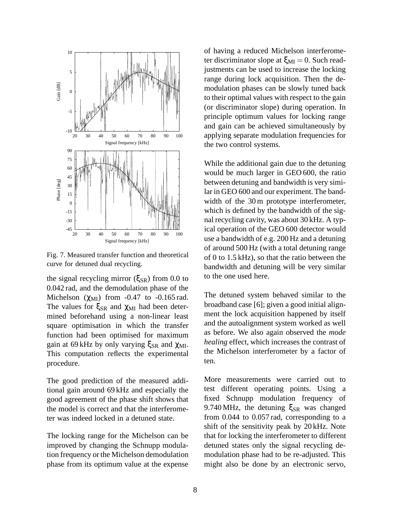

Fig. 7. Measured transfer function and theoretical curve for detuned dual recycling.

the signal recycling mirror ( $\xi_{SR}$ ) from 0.0 to 0.042 rad, and the demodulation phase of the Michelson  $(\gamma_{\text{MI}})$  from -0.47 to -0.165 rad. The values for  $\xi_{SR}$  and  $\chi_{MI}$  had been determined beforehand using a non-linear least square optimisation in which the transfer function had been optimised for maximum gain at 69 kHz by only varying  $ξ_{SR}$  and  $χ_{MI}$ . This computation reflects the experimental procedure.

The good prediction of the measured additional gain around 69 kHz and especially the good agreement of the phase shift shows that the model is correct and that the interferometer was indeed locked in a detuned state.

The locking range for the Michelson can be improved by changing the Schnupp modulation frequency orthe Michelson demodulation phase from its optimum value at the expense

of having a reduced Michelson interferometer discriminator slope at  $\xi_{\text{MI}} = 0$ . Such readjustments can be used to increase the locking range during lock acquisition. Then the demodulation phases can be slowly tuned back to their optimal values with respect to the gain (or discriminator slope) during operation. In principle optimum values for locking range and gain can be achieved simultaneously by applying separate modulation frequencies for the two control systems.

While the additional gain due to the detuning would be much larger in GEO 600, the ratio between detuning and bandwidth is very similar in GEO 600 and our experiment. The bandwidth of the 30 m prototype interferometer, which is defined by the bandwidth of the signal recycling cavity, was about 30 kHz. A typical operation of the GEO 600 detector would use a bandwidth of e.g. 200 Hz and a detuning of around 500 Hz (with a total detuning range of 0 to 1.5 kHz), so that the ratio between the bandwidth and detuning will be very similar to the one used here.

The detuned system behaved similar to the broadband case [6]; given a good initial alignment the lock acquisition happened by itself and the autoalignment system worked as well as before. We also again observed the *mode healing* effect, which increases the contrast of the Michelson interferometer by a factor of ten.

More measurements were carried out to test different operating points. Using a fixed Schnupp modulation frequency of 9.740 MHz, the detuning  $\xi_{SR}$  was changed from 0.044 to 0.057 rad, corresponding to a shift of the sensitivity peak by 20 kHz. Note that for locking the interferometer to different detuned states only the signal recycling demodulation phase had to be re-adjusted. This might also be done by an electronic servo,